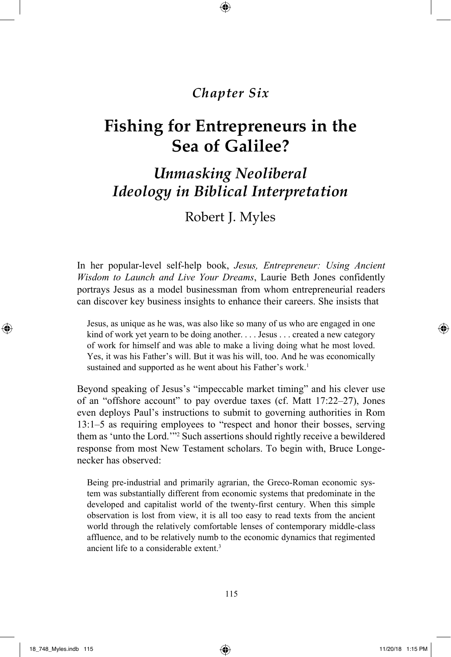## *Chapter Six*

# **Fishing for Entrepreneurs in the Sea of Galilee?**

## *Unmasking Neoliberal Ideology in Biblical Interpretation*

Robert J. Myles

In her popular-level self-help book, *Jesus, Entrepreneur: Using Ancient Wisdom to Launch and Live Your Dreams*, Laurie Beth Jones confidently portrays Jesus as a model businessman from whom entrepreneurial readers can discover key business insights to enhance their careers. She insists that

Jesus, as unique as he was, was also like so many of us who are engaged in one kind of work yet yearn to be doing another. . . . Jesus . . . created a new category of work for himself and was able to make a living doing what he most loved. Yes, it was his Father's will. But it was his will, too. And he was economically sustained and supported as he went about his Father's work.<sup>1</sup>

Beyond speaking of Jesus's "impeccable market timing" and his clever use of an "offshore account" to pay overdue taxes (cf. Matt 17:22–27), Jones even deploys Paul's instructions to submit to governing authorities in Rom 13:1–5 as requiring employees to "respect and honor their bosses, serving them as 'unto the Lord.'"2 Such assertions should rightly receive a bewildered response from most New Testament scholars. To begin with, Bruce Longenecker has observed:

Being pre-industrial and primarily agrarian, the Greco-Roman economic system was substantially different from economic systems that predominate in the developed and capitalist world of the twenty-first century. When this simple observation is lost from view, it is all too easy to read texts from the ancient world through the relatively comfortable lenses of contemporary middle-class affluence, and to be relatively numb to the economic dynamics that regimented ancient life to a considerable extent.3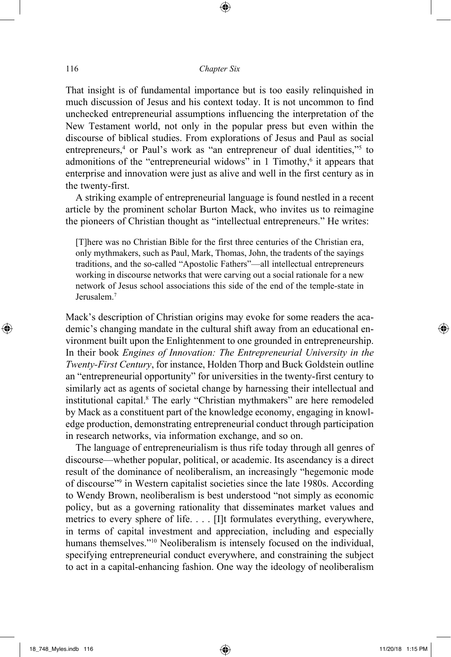That insight is of fundamental importance but is too easily relinquished in much discussion of Jesus and his context today. It is not uncommon to find unchecked entrepreneurial assumptions influencing the interpretation of the New Testament world, not only in the popular press but even within the discourse of biblical studies. From explorations of Jesus and Paul as social entrepreneurs,<sup>4</sup> or Paul's work as "an entrepreneur of dual identities,"<sup>5</sup> to admonitions of the "entrepreneurial widows" in 1 Timothy,<sup>6</sup> it appears that enterprise and innovation were just as alive and well in the first century as in the twenty-first.

A striking example of entrepreneurial language is found nestled in a recent article by the prominent scholar Burton Mack, who invites us to reimagine the pioneers of Christian thought as "intellectual entrepreneurs." He writes:

[T]here was no Christian Bible for the first three centuries of the Christian era, only mythmakers, such as Paul, Mark, Thomas, John, the tradents of the sayings traditions, and the so-called "Apostolic Fathers"—all intellectual entrepreneurs working in discourse networks that were carving out a social rationale for a new network of Jesus school associations this side of the end of the temple-state in Jerusalem<sup>7</sup>

Mack's description of Christian origins may evoke for some readers the academic's changing mandate in the cultural shift away from an educational environment built upon the Enlightenment to one grounded in entrepreneurship. In their book *Engines of Innovation: The Entrepreneurial University in the Twenty-First Century*, for instance, Holden Thorp and Buck Goldstein outline an "entrepreneurial opportunity" for universities in the twenty-first century to similarly act as agents of societal change by harnessing their intellectual and institutional capital.8 The early "Christian mythmakers" are here remodeled by Mack as a constituent part of the knowledge economy, engaging in knowledge production, demonstrating entrepreneurial conduct through participation in research networks, via information exchange, and so on.

The language of entrepreneurialism is thus rife today through all genres of discourse—whether popular, political, or academic. Its ascendancy is a direct result of the dominance of neoliberalism, an increasingly "hegemonic mode of discourse"9 in Western capitalist societies since the late 1980s. According to Wendy Brown, neoliberalism is best understood "not simply as economic policy, but as a governing rationality that disseminates market values and metrics to every sphere of life. . . . [I]t formulates everything, everywhere, in terms of capital investment and appreciation, including and especially humans themselves."<sup>10</sup> Neoliberalism is intensely focused on the individual, specifying entrepreneurial conduct everywhere, and constraining the subject to act in a capital-enhancing fashion. One way the ideology of neoliberalism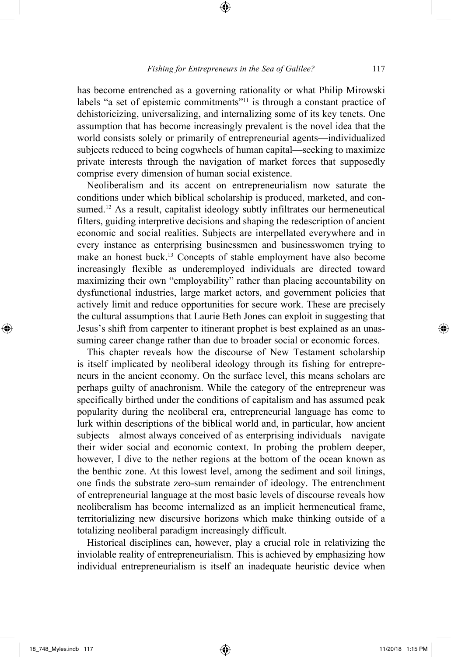has become entrenched as a governing rationality or what Philip Mirowski labels "a set of epistemic commitments"<sup>11</sup> is through a constant practice of dehistoricizing, universalizing, and internalizing some of its key tenets. One assumption that has become increasingly prevalent is the novel idea that the world consists solely or primarily of entrepreneurial agents—individualized subjects reduced to being cogwheels of human capital—seeking to maximize private interests through the navigation of market forces that supposedly comprise every dimension of human social existence.

Neoliberalism and its accent on entrepreneurialism now saturate the conditions under which biblical scholarship is produced, marketed, and consumed.<sup>12</sup> As a result, capitalist ideology subtly infiltrates our hermeneutical filters, guiding interpretive decisions and shaping the redescription of ancient economic and social realities. Subjects are interpellated everywhere and in every instance as enterprising businessmen and businesswomen trying to make an honest buck.13 Concepts of stable employment have also become increasingly flexible as underemployed individuals are directed toward maximizing their own "employability" rather than placing accountability on dysfunctional industries, large market actors, and government policies that actively limit and reduce opportunities for secure work. These are precisely the cultural assumptions that Laurie Beth Jones can exploit in suggesting that Jesus's shift from carpenter to itinerant prophet is best explained as an unassuming career change rather than due to broader social or economic forces.

This chapter reveals how the discourse of New Testament scholarship is itself implicated by neoliberal ideology through its fishing for entrepreneurs in the ancient economy. On the surface level, this means scholars are perhaps guilty of anachronism. While the category of the entrepreneur was specifically birthed under the conditions of capitalism and has assumed peak popularity during the neoliberal era, entrepreneurial language has come to lurk within descriptions of the biblical world and, in particular, how ancient subjects—almost always conceived of as enterprising individuals—navigate their wider social and economic context. In probing the problem deeper, however, I dive to the nether regions at the bottom of the ocean known as the benthic zone. At this lowest level, among the sediment and soil linings, one finds the substrate zero-sum remainder of ideology. The entrenchment of entrepreneurial language at the most basic levels of discourse reveals how neoliberalism has become internalized as an implicit hermeneutical frame, territorializing new discursive horizons which make thinking outside of a totalizing neoliberal paradigm increasingly difficult.

Historical disciplines can, however, play a crucial role in relativizing the inviolable reality of entrepreneurialism. This is achieved by emphasizing how individual entrepreneurialism is itself an inadequate heuristic device when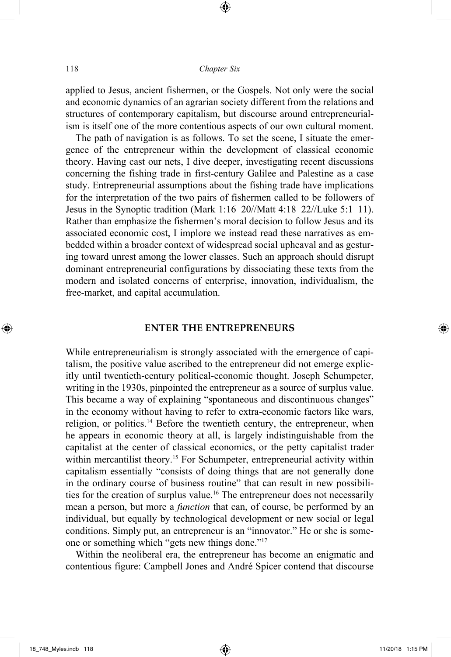applied to Jesus, ancient fishermen, or the Gospels. Not only were the social and economic dynamics of an agrarian society different from the relations and structures of contemporary capitalism, but discourse around entrepreneurialism is itself one of the more contentious aspects of our own cultural moment.

The path of navigation is as follows. To set the scene, I situate the emergence of the entrepreneur within the development of classical economic theory. Having cast our nets, I dive deeper, investigating recent discussions concerning the fishing trade in first-century Galilee and Palestine as a case study. Entrepreneurial assumptions about the fishing trade have implications for the interpretation of the two pairs of fishermen called to be followers of Jesus in the Synoptic tradition (Mark 1:16–20//Matt 4:18–22//Luke 5:1–11). Rather than emphasize the fishermen's moral decision to follow Jesus and its associated economic cost, I implore we instead read these narratives as embedded within a broader context of widespread social upheaval and as gesturing toward unrest among the lower classes. Such an approach should disrupt dominant entrepreneurial configurations by dissociating these texts from the modern and isolated concerns of enterprise, innovation, individualism, the free-market, and capital accumulation.

### **ENTER THE ENTREPRENEURS**

While entrepreneurialism is strongly associated with the emergence of capitalism, the positive value ascribed to the entrepreneur did not emerge explicitly until twentieth-century political-economic thought. Joseph Schumpeter, writing in the 1930s, pinpointed the entrepreneur as a source of surplus value. This became a way of explaining "spontaneous and discontinuous changes" in the economy without having to refer to extra-economic factors like wars, religion, or politics.14 Before the twentieth century, the entrepreneur, when he appears in economic theory at all, is largely indistinguishable from the capitalist at the center of classical economics, or the petty capitalist trader within mercantilist theory.<sup>15</sup> For Schumpeter, entrepreneurial activity within capitalism essentially "consists of doing things that are not generally done in the ordinary course of business routine" that can result in new possibilities for the creation of surplus value.<sup>16</sup> The entrepreneur does not necessarily mean a person, but more a *function* that can, of course, be performed by an individual, but equally by technological development or new social or legal conditions. Simply put, an entrepreneur is an "innovator." He or she is someone or something which "gets new things done."17

Within the neoliberal era, the entrepreneur has become an enigmatic and contentious figure: Campbell Jones and André Spicer contend that discourse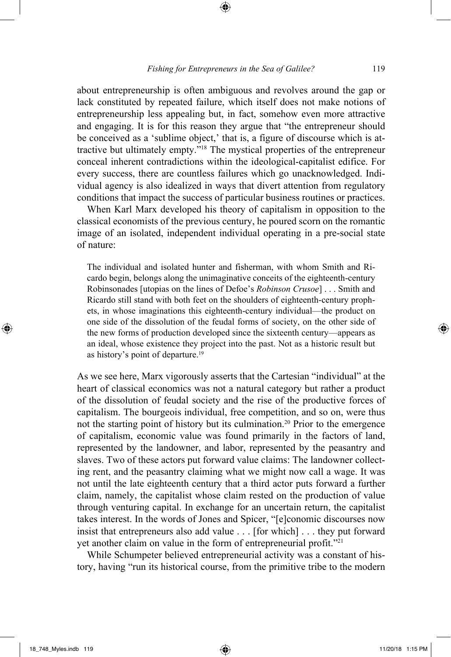about entrepreneurship is often ambiguous and revolves around the gap or lack constituted by repeated failure, which itself does not make notions of entrepreneurship less appealing but, in fact, somehow even more attractive and engaging. It is for this reason they argue that "the entrepreneur should be conceived as a 'sublime object,' that is, a figure of discourse which is attractive but ultimately empty."18 The mystical properties of the entrepreneur conceal inherent contradictions within the ideological-capitalist edifice. For every success, there are countless failures which go unacknowledged. Individual agency is also idealized in ways that divert attention from regulatory conditions that impact the success of particular business routines or practices.

When Karl Marx developed his theory of capitalism in opposition to the classical economists of the previous century, he poured scorn on the romantic image of an isolated, independent individual operating in a pre-social state of nature:

The individual and isolated hunter and fisherman, with whom Smith and Ricardo begin, belongs along the unimaginative conceits of the eighteenth-century Robinsonades [utopias on the lines of Defoe's *Robinson Crusoe*] . . . Smith and Ricardo still stand with both feet on the shoulders of eighteenth-century prophets, in whose imaginations this eighteenth-century individual—the product on one side of the dissolution of the feudal forms of society, on the other side of the new forms of production developed since the sixteenth century—appears as an ideal, whose existence they project into the past. Not as a historic result but as history's point of departure.19

As we see here, Marx vigorously asserts that the Cartesian "individual" at the heart of classical economics was not a natural category but rather a product of the dissolution of feudal society and the rise of the productive forces of capitalism. The bourgeois individual, free competition, and so on, were thus not the starting point of history but its culmination.<sup>20</sup> Prior to the emergence of capitalism, economic value was found primarily in the factors of land, represented by the landowner, and labor, represented by the peasantry and slaves. Two of these actors put forward value claims: The landowner collecting rent, and the peasantry claiming what we might now call a wage. It was not until the late eighteenth century that a third actor puts forward a further claim, namely, the capitalist whose claim rested on the production of value through venturing capital. In exchange for an uncertain return, the capitalist takes interest. In the words of Jones and Spicer, "[e]conomic discourses now insist that entrepreneurs also add value . . . [for which] . . . they put forward yet another claim on value in the form of entrepreneurial profit."21

While Schumpeter believed entrepreneurial activity was a constant of history, having "run its historical course, from the primitive tribe to the modern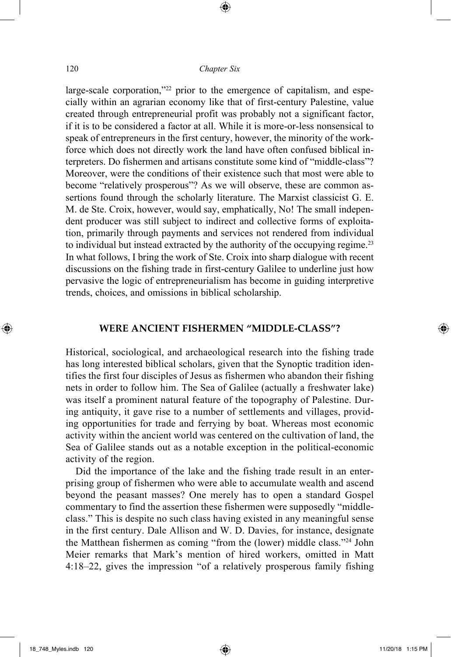large-scale corporation,"<sup>22</sup> prior to the emergence of capitalism, and especially within an agrarian economy like that of first-century Palestine, value created through entrepreneurial profit was probably not a significant factor, if it is to be considered a factor at all. While it is more-or-less nonsensical to speak of entrepreneurs in the first century, however, the minority of the workforce which does not directly work the land have often confused biblical interpreters. Do fishermen and artisans constitute some kind of "middle-class"? Moreover, were the conditions of their existence such that most were able to become "relatively prosperous"? As we will observe, these are common assertions found through the scholarly literature. The Marxist classicist G. E. M. de Ste. Croix, however, would say, emphatically, No! The small independent producer was still subject to indirect and collective forms of exploitation, primarily through payments and services not rendered from individual to individual but instead extracted by the authority of the occupying regime.<sup>23</sup> In what follows, I bring the work of Ste. Croix into sharp dialogue with recent discussions on the fishing trade in first-century Galilee to underline just how pervasive the logic of entrepreneurialism has become in guiding interpretive trends, choices, and omissions in biblical scholarship.

### **WERE ANCIENT FISHERMEN "MIDDLE-CLASS"?**

Historical, sociological, and archaeological research into the fishing trade has long interested biblical scholars, given that the Synoptic tradition identifies the first four disciples of Jesus as fishermen who abandon their fishing nets in order to follow him. The Sea of Galilee (actually a freshwater lake) was itself a prominent natural feature of the topography of Palestine. During antiquity, it gave rise to a number of settlements and villages, providing opportunities for trade and ferrying by boat. Whereas most economic activity within the ancient world was centered on the cultivation of land, the Sea of Galilee stands out as a notable exception in the political-economic activity of the region.

Did the importance of the lake and the fishing trade result in an enterprising group of fishermen who were able to accumulate wealth and ascend beyond the peasant masses? One merely has to open a standard Gospel commentary to find the assertion these fishermen were supposedly "middleclass." This is despite no such class having existed in any meaningful sense in the first century. Dale Allison and W. D. Davies, for instance, designate the Matthean fishermen as coming "from the (lower) middle class."24 John Meier remarks that Mark's mention of hired workers, omitted in Matt 4:18–22, gives the impression "of a relatively prosperous family fishing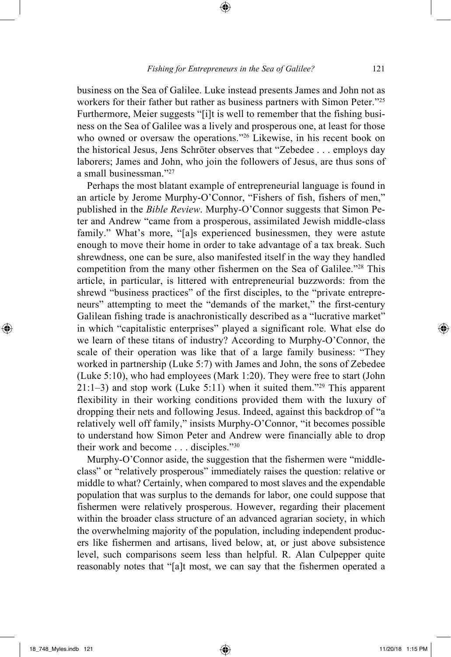business on the Sea of Galilee. Luke instead presents James and John not as workers for their father but rather as business partners with Simon Peter."25 Furthermore, Meier suggests "[i]t is well to remember that the fishing business on the Sea of Galilee was a lively and prosperous one, at least for those who owned or oversaw the operations."<sup>26</sup> Likewise, in his recent book on the historical Jesus, Jens Schröter observes that "Zebedee . . . employs day laborers; James and John, who join the followers of Jesus, are thus sons of a small businessman."27

Perhaps the most blatant example of entrepreneurial language is found in an article by Jerome Murphy-O'Connor, "Fishers of fish, fishers of men," published in the *Bible Review*. Murphy-O'Connor suggests that Simon Peter and Andrew "came from a prosperous, assimilated Jewish middle-class family." What's more, "[a]s experienced businessmen, they were astute enough to move their home in order to take advantage of a tax break. Such shrewdness, one can be sure, also manifested itself in the way they handled competition from the many other fishermen on the Sea of Galilee."28 This article, in particular, is littered with entrepreneurial buzzwords: from the shrewd "business practices" of the first disciples, to the "private entrepreneurs" attempting to meet the "demands of the market," the first-century Galilean fishing trade is anachronistically described as a "lucrative market" in which "capitalistic enterprises" played a significant role. What else do we learn of these titans of industry? According to Murphy-O'Connor, the scale of their operation was like that of a large family business: "They worked in partnership (Luke 5:7) with James and John, the sons of Zebedee (Luke 5:10), who had employees (Mark 1:20). They were free to start (John 21:1–3) and stop work (Luke 5:11) when it suited them."29 This apparent flexibility in their working conditions provided them with the luxury of dropping their nets and following Jesus. Indeed, against this backdrop of "a relatively well off family," insists Murphy-O'Connor, "it becomes possible to understand how Simon Peter and Andrew were financially able to drop their work and become . . . disciples."30

Murphy-O'Connor aside, the suggestion that the fishermen were "middleclass" or "relatively prosperous" immediately raises the question: relative or middle to what? Certainly, when compared to most slaves and the expendable population that was surplus to the demands for labor, one could suppose that fishermen were relatively prosperous. However, regarding their placement within the broader class structure of an advanced agrarian society, in which the overwhelming majority of the population, including independent producers like fishermen and artisans, lived below, at, or just above subsistence level, such comparisons seem less than helpful. R. Alan Culpepper quite reasonably notes that "[a]t most, we can say that the fishermen operated a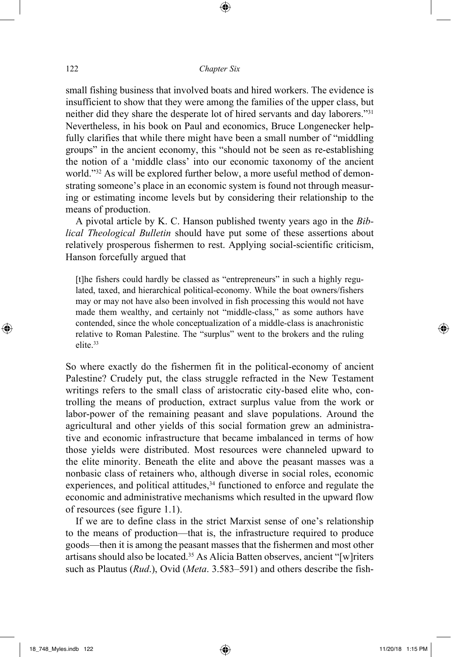small fishing business that involved boats and hired workers. The evidence is insufficient to show that they were among the families of the upper class, but neither did they share the desperate lot of hired servants and day laborers."31 Nevertheless, in his book on Paul and economics, Bruce Longenecker helpfully clarifies that while there might have been a small number of "middling groups" in the ancient economy, this "should not be seen as re-establishing the notion of a 'middle class' into our economic taxonomy of the ancient world."<sup>32</sup> As will be explored further below, a more useful method of demonstrating someone's place in an economic system is found not through measuring or estimating income levels but by considering their relationship to the means of production.

A pivotal article by K. C. Hanson published twenty years ago in the *Biblical Theological Bulletin* should have put some of these assertions about relatively prosperous fishermen to rest. Applying social-scientific criticism, Hanson forcefully argued that

[t]he fishers could hardly be classed as "entrepreneurs" in such a highly regulated, taxed, and hierarchical political-economy. While the boat owners/fishers may or may not have also been involved in fish processing this would not have made them wealthy, and certainly not "middle-class," as some authors have contended, since the whole conceptualization of a middle-class is anachronistic relative to Roman Palestine. The "surplus" went to the brokers and the ruling elite<sup>33</sup>

So where exactly do the fishermen fit in the political-economy of ancient Palestine? Crudely put, the class struggle refracted in the New Testament writings refers to the small class of aristocratic city-based elite who, controlling the means of production, extract surplus value from the work or labor-power of the remaining peasant and slave populations. Around the agricultural and other yields of this social formation grew an administrative and economic infrastructure that became imbalanced in terms of how those yields were distributed. Most resources were channeled upward to the elite minority. Beneath the elite and above the peasant masses was a nonbasic class of retainers who, although diverse in social roles, economic experiences, and political attitudes,<sup>34</sup> functioned to enforce and regulate the economic and administrative mechanisms which resulted in the upward flow of resources (see figure 1.1).

If we are to define class in the strict Marxist sense of one's relationship to the means of production—that is, the infrastructure required to produce goods—then it is among the peasant masses that the fishermen and most other artisans should also be located.35 As Alicia Batten observes, ancient "[w]riters such as Plautus (*Rud*.), Ovid (*Meta*. 3.583–591) and others describe the fish-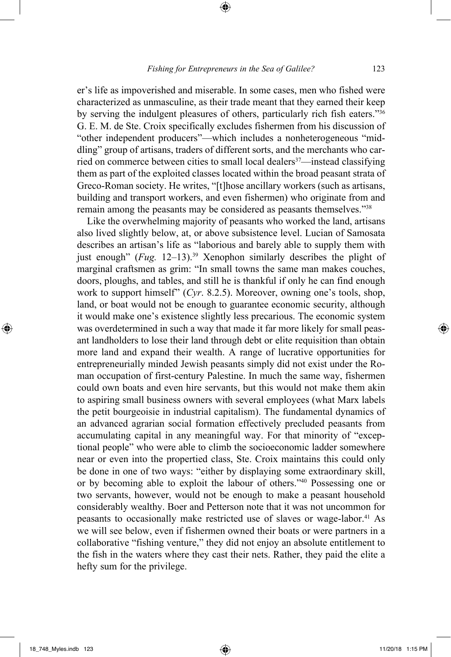er's life as impoverished and miserable. In some cases, men who fished were characterized as unmasculine, as their trade meant that they earned their keep by serving the indulgent pleasures of others, particularly rich fish eaters."36 G. E. M. de Ste. Croix specifically excludes fishermen from his discussion of "other independent producers"—which includes a nonheterogeneous "middling" group of artisans, traders of different sorts, and the merchants who carried on commerce between cities to small local dealers<sup>37</sup>—instead classifying them as part of the exploited classes located within the broad peasant strata of Greco-Roman society. He writes, "[t]hose ancillary workers (such as artisans, building and transport workers, and even fishermen) who originate from and remain among the peasants may be considered as peasants themselves."38

Like the overwhelming majority of peasants who worked the land, artisans also lived slightly below, at, or above subsistence level. Lucian of Samosata describes an artisan's life as "laborious and barely able to supply them with just enough" (*Fug.* 12–13).39 Xenophon similarly describes the plight of marginal craftsmen as grim: "In small towns the same man makes couches, doors, ploughs, and tables, and still he is thankful if only he can find enough work to support himself" (*Cyr*. 8.2.5). Moreover, owning one's tools, shop, land, or boat would not be enough to guarantee economic security, although it would make one's existence slightly less precarious. The economic system was overdetermined in such a way that made it far more likely for small peasant landholders to lose their land through debt or elite requisition than obtain more land and expand their wealth. A range of lucrative opportunities for entrepreneurially minded Jewish peasants simply did not exist under the Roman occupation of first-century Palestine. In much the same way, fishermen could own boats and even hire servants, but this would not make them akin to aspiring small business owners with several employees (what Marx labels the petit bourgeoisie in industrial capitalism). The fundamental dynamics of an advanced agrarian social formation effectively precluded peasants from accumulating capital in any meaningful way. For that minority of "exceptional people" who were able to climb the socioeconomic ladder somewhere near or even into the propertied class, Ste. Croix maintains this could only be done in one of two ways: "either by displaying some extraordinary skill, or by becoming able to exploit the labour of others."40 Possessing one or two servants, however, would not be enough to make a peasant household considerably wealthy. Boer and Petterson note that it was not uncommon for peasants to occasionally make restricted use of slaves or wage-labor.<sup>41</sup> As we will see below, even if fishermen owned their boats or were partners in a collaborative "fishing venture," they did not enjoy an absolute entitlement to the fish in the waters where they cast their nets. Rather, they paid the elite a hefty sum for the privilege.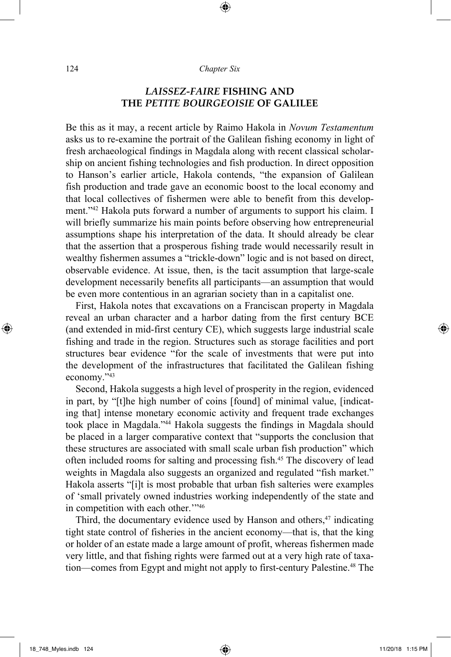#### 124 *Chapter Six*

## *LAISSEZ-FAIRE* **FISHING AND THE** *PETITE BOURGEOISIE* **OF GALILEE**

Be this as it may, a recent article by Raimo Hakola in *Novum Testamentum* asks us to re-examine the portrait of the Galilean fishing economy in light of fresh archaeological findings in Magdala along with recent classical scholarship on ancient fishing technologies and fish production. In direct opposition to Hanson's earlier article, Hakola contends, "the expansion of Galilean fish production and trade gave an economic boost to the local economy and that local collectives of fishermen were able to benefit from this development."42 Hakola puts forward a number of arguments to support his claim. I will briefly summarize his main points before observing how entrepreneurial assumptions shape his interpretation of the data. It should already be clear that the assertion that a prosperous fishing trade would necessarily result in wealthy fishermen assumes a "trickle-down" logic and is not based on direct, observable evidence. At issue, then, is the tacit assumption that large-scale development necessarily benefits all participants—an assumption that would be even more contentious in an agrarian society than in a capitalist one.

First, Hakola notes that excavations on a Franciscan property in Magdala reveal an urban character and a harbor dating from the first century BCE (and extended in mid-first century CE), which suggests large industrial scale fishing and trade in the region. Structures such as storage facilities and port structures bear evidence "for the scale of investments that were put into the development of the infrastructures that facilitated the Galilean fishing economy."43

Second, Hakola suggests a high level of prosperity in the region, evidenced in part, by "[t]he high number of coins [found] of minimal value, [indicating that] intense monetary economic activity and frequent trade exchanges took place in Magdala."44 Hakola suggests the findings in Magdala should be placed in a larger comparative context that "supports the conclusion that these structures are associated with small scale urban fish production" which often included rooms for salting and processing fish.45 The discovery of lead weights in Magdala also suggests an organized and regulated "fish market." Hakola asserts "[i]t is most probable that urban fish salteries were examples of 'small privately owned industries working independently of the state and in competition with each other.'"46

Third, the documentary evidence used by Hanson and others, $47$  indicating tight state control of fisheries in the ancient economy—that is, that the king or holder of an estate made a large amount of profit, whereas fishermen made very little, and that fishing rights were farmed out at a very high rate of taxation—comes from Egypt and might not apply to first-century Palestine.<sup>48</sup> The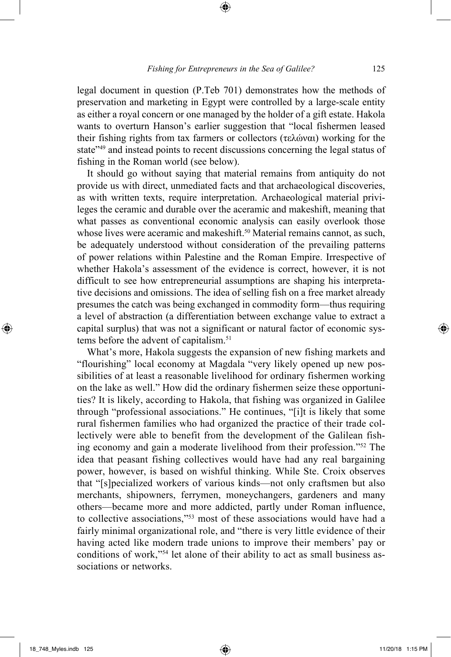legal document in question (P.Teb 701) demonstrates how the methods of preservation and marketing in Egypt were controlled by a large-scale entity as either a royal concern or one managed by the holder of a gift estate. Hakola wants to overturn Hanson's earlier suggestion that "local fishermen leased their fishing rights from tax farmers or collectors (τελώναι) working for the state<sup>"49</sup> and instead points to recent discussions concerning the legal status of fishing in the Roman world (see below).

It should go without saying that material remains from antiquity do not provide us with direct, unmediated facts and that archaeological discoveries, as with written texts, require interpretation. Archaeological material privileges the ceramic and durable over the aceramic and makeshift, meaning that what passes as conventional economic analysis can easily overlook those whose lives were aceramic and makeshift.<sup>50</sup> Material remains cannot, as such, be adequately understood without consideration of the prevailing patterns of power relations within Palestine and the Roman Empire. Irrespective of whether Hakola's assessment of the evidence is correct, however, it is not difficult to see how entrepreneurial assumptions are shaping his interpretative decisions and omissions. The idea of selling fish on a free market already presumes the catch was being exchanged in commodity form—thus requiring a level of abstraction (a differentiation between exchange value to extract a capital surplus) that was not a significant or natural factor of economic systems before the advent of capitalism.<sup>51</sup>

What's more, Hakola suggests the expansion of new fishing markets and "flourishing" local economy at Magdala "very likely opened up new possibilities of at least a reasonable livelihood for ordinary fishermen working on the lake as well." How did the ordinary fishermen seize these opportunities? It is likely, according to Hakola, that fishing was organized in Galilee through "professional associations." He continues, "[i]t is likely that some rural fishermen families who had organized the practice of their trade collectively were able to benefit from the development of the Galilean fishing economy and gain a moderate livelihood from their profession."52 The idea that peasant fishing collectives would have had any real bargaining power, however, is based on wishful thinking. While Ste. Croix observes that "[s]pecialized workers of various kinds—not only craftsmen but also merchants, shipowners, ferrymen, moneychangers, gardeners and many others—became more and more addicted, partly under Roman influence, to collective associations,"53 most of these associations would have had a fairly minimal organizational role, and "there is very little evidence of their having acted like modern trade unions to improve their members' pay or conditions of work,"54 let alone of their ability to act as small business associations or networks.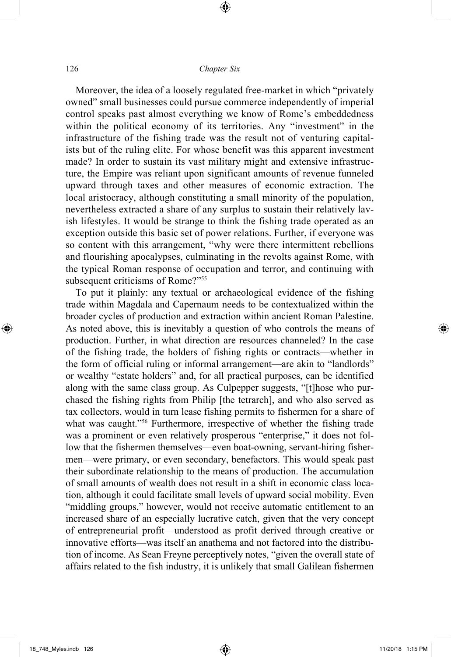#### 126 *Chapter Six*

Moreover, the idea of a loosely regulated free-market in which "privately owned" small businesses could pursue commerce independently of imperial control speaks past almost everything we know of Rome's embeddedness within the political economy of its territories. Any "investment" in the infrastructure of the fishing trade was the result not of venturing capitalists but of the ruling elite. For whose benefit was this apparent investment made? In order to sustain its vast military might and extensive infrastructure, the Empire was reliant upon significant amounts of revenue funneled upward through taxes and other measures of economic extraction. The local aristocracy, although constituting a small minority of the population, nevertheless extracted a share of any surplus to sustain their relatively lavish lifestyles. It would be strange to think the fishing trade operated as an exception outside this basic set of power relations. Further, if everyone was so content with this arrangement, "why were there intermittent rebellions and flourishing apocalypses, culminating in the revolts against Rome, with the typical Roman response of occupation and terror, and continuing with subsequent criticisms of Rome?"55

To put it plainly: any textual or archaeological evidence of the fishing trade within Magdala and Capernaum needs to be contextualized within the broader cycles of production and extraction within ancient Roman Palestine. As noted above, this is inevitably a question of who controls the means of production. Further, in what direction are resources channeled? In the case of the fishing trade, the holders of fishing rights or contracts—whether in the form of official ruling or informal arrangement—are akin to "landlords" or wealthy "estate holders" and, for all practical purposes, can be identified along with the same class group. As Culpepper suggests, "[t]hose who purchased the fishing rights from Philip [the tetrarch], and who also served as tax collectors, would in turn lease fishing permits to fishermen for a share of what was caught."<sup>56</sup> Furthermore, irrespective of whether the fishing trade was a prominent or even relatively prosperous "enterprise," it does not follow that the fishermen themselves—even boat-owning, servant-hiring fishermen—were primary, or even secondary, benefactors. This would speak past their subordinate relationship to the means of production. The accumulation of small amounts of wealth does not result in a shift in economic class location, although it could facilitate small levels of upward social mobility. Even "middling groups," however, would not receive automatic entitlement to an increased share of an especially lucrative catch, given that the very concept of entrepreneurial profit—understood as profit derived through creative or innovative efforts—was itself an anathema and not factored into the distribution of income. As Sean Freyne perceptively notes, "given the overall state of affairs related to the fish industry, it is unlikely that small Galilean fishermen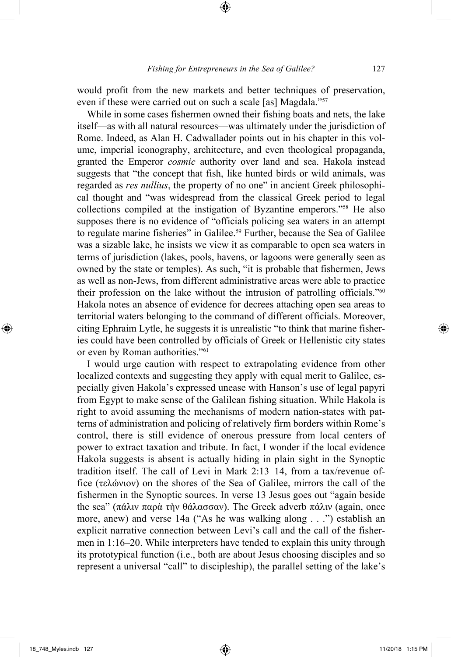would profit from the new markets and better techniques of preservation, even if these were carried out on such a scale [as] Magdala."57

While in some cases fishermen owned their fishing boats and nets, the lake itself—as with all natural resources—was ultimately under the jurisdiction of Rome. Indeed, as Alan H. Cadwallader points out in his chapter in this volume, imperial iconography, architecture, and even theological propaganda, granted the Emperor *cosmic* authority over land and sea. Hakola instead suggests that "the concept that fish, like hunted birds or wild animals, was regarded as *res nullius*, the property of no one" in ancient Greek philosophical thought and "was widespread from the classical Greek period to legal collections compiled at the instigation of Byzantine emperors."58 He also supposes there is no evidence of "officials policing sea waters in an attempt to regulate marine fisheries" in Galilee.<sup>59</sup> Further, because the Sea of Galilee was a sizable lake, he insists we view it as comparable to open sea waters in terms of jurisdiction (lakes, pools, havens, or lagoons were generally seen as owned by the state or temples). As such, "it is probable that fishermen, Jews as well as non-Jews, from different administrative areas were able to practice their profession on the lake without the intrusion of patrolling officials."60 Hakola notes an absence of evidence for decrees attaching open sea areas to territorial waters belonging to the command of different officials. Moreover, citing Ephraim Lytle, he suggests it is unrealistic "to think that marine fisheries could have been controlled by officials of Greek or Hellenistic city states or even by Roman authorities."61

I would urge caution with respect to extrapolating evidence from other localized contexts and suggesting they apply with equal merit to Galilee, especially given Hakola's expressed unease with Hanson's use of legal papyri from Egypt to make sense of the Galilean fishing situation. While Hakola is right to avoid assuming the mechanisms of modern nation-states with patterns of administration and policing of relatively firm borders within Rome's control, there is still evidence of onerous pressure from local centers of power to extract taxation and tribute. In fact, I wonder if the local evidence Hakola suggests is absent is actually hiding in plain sight in the Synoptic tradition itself. The call of Levi in Mark 2:13–14, from a tax/revenue office (τελώνιον) on the shores of the Sea of Galilee, mirrors the call of the fishermen in the Synoptic sources. In verse 13 Jesus goes out "again beside the sea" (πάλιν παρὰ τὴν θάλασσαν). The Greek adverb πάλιν (again, once more, anew) and verse 14a ("As he was walking along . . .") establish an explicit narrative connection between Levi's call and the call of the fishermen in 1:16–20. While interpreters have tended to explain this unity through its prototypical function (i.e., both are about Jesus choosing disciples and so represent a universal "call" to discipleship), the parallel setting of the lake's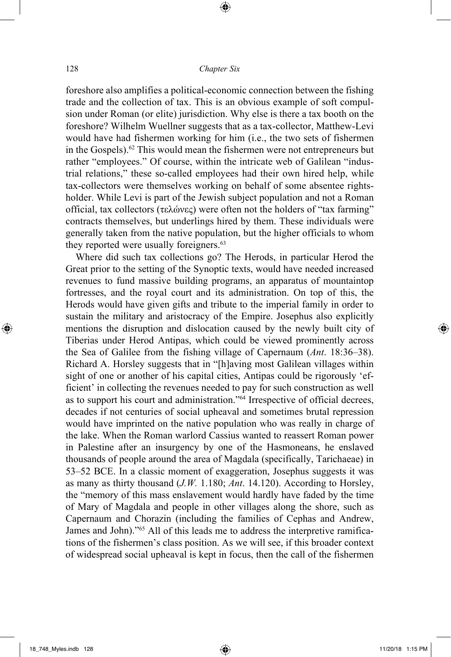foreshore also amplifies a political-economic connection between the fishing trade and the collection of tax. This is an obvious example of soft compulsion under Roman (or elite) jurisdiction. Why else is there a tax booth on the foreshore? Wilhelm Wuellner suggests that as a tax-collector, Matthew-Levi would have had fishermen working for him (i.e., the two sets of fishermen in the Gospels).<sup>62</sup> This would mean the fishermen were not entrepreneurs but rather "employees." Of course, within the intricate web of Galilean "industrial relations," these so-called employees had their own hired help, while tax-collectors were themselves working on behalf of some absentee rightsholder. While Levi is part of the Jewish subject population and not a Roman official, tax collectors (τελώνες) were often not the holders of "tax farming" contracts themselves, but underlings hired by them. These individuals were generally taken from the native population, but the higher officials to whom they reported were usually foreigners.<sup>63</sup>

Where did such tax collections go? The Herods, in particular Herod the Great prior to the setting of the Synoptic texts, would have needed increased revenues to fund massive building programs, an apparatus of mountaintop fortresses, and the royal court and its administration. On top of this, the Herods would have given gifts and tribute to the imperial family in order to sustain the military and aristocracy of the Empire. Josephus also explicitly mentions the disruption and dislocation caused by the newly built city of Tiberias under Herod Antipas, which could be viewed prominently across the Sea of Galilee from the fishing village of Capernaum (*Ant*. 18:36–38). Richard A. Horsley suggests that in "[h]aving most Galilean villages within sight of one or another of his capital cities, Antipas could be rigorously 'efficient' in collecting the revenues needed to pay for such construction as well as to support his court and administration."64 Irrespective of official decrees, decades if not centuries of social upheaval and sometimes brutal repression would have imprinted on the native population who was really in charge of the lake. When the Roman warlord Cassius wanted to reassert Roman power in Palestine after an insurgency by one of the Hasmoneans, he enslaved thousands of people around the area of Magdala (specifically, Tarichaeae) in 53–52 BCE. In a classic moment of exaggeration, Josephus suggests it was as many as thirty thousand (*J.W.* 1.180; *Ant*. 14.120). According to Horsley, the "memory of this mass enslavement would hardly have faded by the time of Mary of Magdala and people in other villages along the shore, such as Capernaum and Chorazin (including the families of Cephas and Andrew, James and John)."<sup>65</sup> All of this leads me to address the interpretive ramifications of the fishermen's class position. As we will see, if this broader context of widespread social upheaval is kept in focus, then the call of the fishermen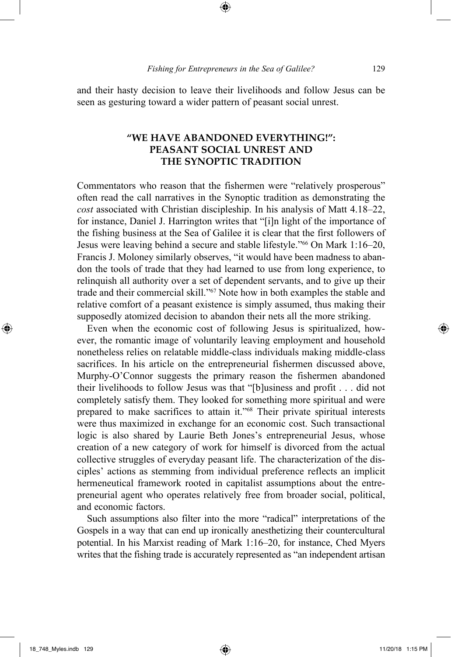and their hasty decision to leave their livelihoods and follow Jesus can be seen as gesturing toward a wider pattern of peasant social unrest.

### **"WE HAVE ABANDONED EVERYTHING!": PEASANT SOCIAL UNREST AND THE SYNOPTIC TRADITION**

Commentators who reason that the fishermen were "relatively prosperous" often read the call narratives in the Synoptic tradition as demonstrating the *cost* associated with Christian discipleship. In his analysis of Matt 4.18–22, for instance, Daniel J. Harrington writes that "[i]n light of the importance of the fishing business at the Sea of Galilee it is clear that the first followers of Jesus were leaving behind a secure and stable lifestyle."66 On Mark 1:16–20, Francis J. Moloney similarly observes, "it would have been madness to abandon the tools of trade that they had learned to use from long experience, to relinquish all authority over a set of dependent servants, and to give up their trade and their commercial skill."67 Note how in both examples the stable and relative comfort of a peasant existence is simply assumed, thus making their supposedly atomized decision to abandon their nets all the more striking.

Even when the economic cost of following Jesus is spiritualized, however, the romantic image of voluntarily leaving employment and household nonetheless relies on relatable middle-class individuals making middle-class sacrifices. In his article on the entrepreneurial fishermen discussed above, Murphy-O'Connor suggests the primary reason the fishermen abandoned their livelihoods to follow Jesus was that "[b]usiness and profit . . . did not completely satisfy them. They looked for something more spiritual and were prepared to make sacrifices to attain it."68 Their private spiritual interests were thus maximized in exchange for an economic cost. Such transactional logic is also shared by Laurie Beth Jones's entrepreneurial Jesus, whose creation of a new category of work for himself is divorced from the actual collective struggles of everyday peasant life. The characterization of the disciples' actions as stemming from individual preference reflects an implicit hermeneutical framework rooted in capitalist assumptions about the entrepreneurial agent who operates relatively free from broader social, political, and economic factors.

Such assumptions also filter into the more "radical" interpretations of the Gospels in a way that can end up ironically anesthetizing their countercultural potential. In his Marxist reading of Mark 1:16–20, for instance, Ched Myers writes that the fishing trade is accurately represented as "an independent artisan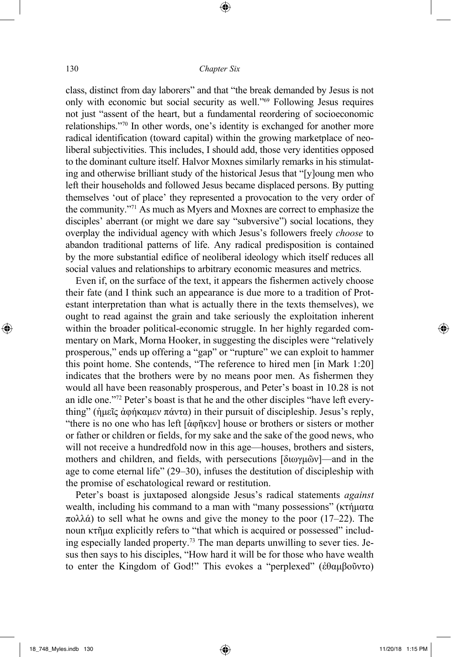class, distinct from day laborers" and that "the break demanded by Jesus is not only with economic but social security as well."69 Following Jesus requires not just "assent of the heart, but a fundamental reordering of socioeconomic relationships."70 In other words, one's identity is exchanged for another more radical identification (toward capital) within the growing marketplace of neoliberal subjectivities. This includes, I should add, those very identities opposed to the dominant culture itself. Halvor Moxnes similarly remarks in his stimulating and otherwise brilliant study of the historical Jesus that "[y]oung men who left their households and followed Jesus became displaced persons. By putting themselves 'out of place' they represented a provocation to the very order of the community."71 As much as Myers and Moxnes are correct to emphasize the disciples' aberrant (or might we dare say "subversive") social locations, they overplay the individual agency with which Jesus's followers freely *choose* to abandon traditional patterns of life. Any radical predisposition is contained by the more substantial edifice of neoliberal ideology which itself reduces all social values and relationships to arbitrary economic measures and metrics.

Even if, on the surface of the text, it appears the fishermen actively choose their fate (and I think such an appearance is due more to a tradition of Protestant interpretation than what is actually there in the texts themselves), we ought to read against the grain and take seriously the exploitation inherent within the broader political-economic struggle. In her highly regarded commentary on Mark, Morna Hooker, in suggesting the disciples were "relatively prosperous," ends up offering a "gap" or "rupture" we can exploit to hammer this point home. She contends, "The reference to hired men [in Mark 1:20] indicates that the brothers were by no means poor men. As fishermen they would all have been reasonably prosperous, and Peter's boast in 10.28 is not an idle one."72 Peter's boast is that he and the other disciples "have left everything" (ήμεῖς ἀφήκαμεν πάντα) in their pursuit of discipleship. Jesus's reply, "there is no one who has left [ἀφῆκεν] house or brothers or sisters or mother or father or children or fields, for my sake and the sake of the good news, who will not receive a hundredfold now in this age—houses, brothers and sisters, mothers and children, and fields, with persecutions [διωγμῶν]—and in the age to come eternal life" (29–30), infuses the destitution of discipleship with the promise of eschatological reward or restitution.

Peter's boast is juxtaposed alongside Jesus's radical statements *against*  wealth, including his command to a man with "many possessions" (κτήματα πολλά) to sell what he owns and give the money to the poor (17–22). The noun κτῆμα explicitly refers to "that which is acquired or possessed" including especially landed property.73 The man departs unwilling to sever ties. Jesus then says to his disciples, "How hard it will be for those who have wealth to enter the Kingdom of God!" This evokes a "perplexed" (ἐθαμβοῦντο)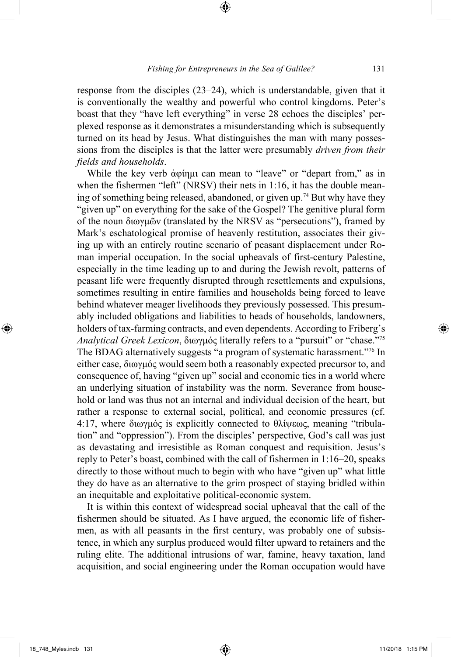response from the disciples (23–24), which is understandable, given that it is conventionally the wealthy and powerful who control kingdoms. Peter's boast that they "have left everything" in verse 28 echoes the disciples' perplexed response as it demonstrates a misunderstanding which is subsequently turned on its head by Jesus. What distinguishes the man with many possessions from the disciples is that the latter were presumably *driven from their fields and households*.

While the key verb ἀφίημι can mean to "leave" or "depart from," as in when the fishermen "left" (NRSV) their nets in 1:16, it has the double meaning of something being released, abandoned, or given up.74 But why have they "given up" on everything for the sake of the Gospel? The genitive plural form of the noun διωγμῶν (translated by the NRSV as "persecutions"), framed by Mark's eschatological promise of heavenly restitution, associates their giving up with an entirely routine scenario of peasant displacement under Roman imperial occupation. In the social upheavals of first-century Palestine, especially in the time leading up to and during the Jewish revolt, patterns of peasant life were frequently disrupted through resettlements and expulsions, sometimes resulting in entire families and households being forced to leave behind whatever meager livelihoods they previously possessed. This presumably included obligations and liabilities to heads of households, landowners, holders of tax-farming contracts, and even dependents. According to Friberg's *Analytical Greek Lexicon*, διωγμός literally refers to a "pursuit" or "chase."<sup>75</sup> The BDAG alternatively suggests "a program of systematic harassment."76 In either case, διωγμός would seem both a reasonably expected precursor to, and consequence of, having "given up" social and economic ties in a world where an underlying situation of instability was the norm. Severance from household or land was thus not an internal and individual decision of the heart, but rather a response to external social, political, and economic pressures (cf. 4:17, where διωγμός is explicitly connected to θλίψεως, meaning "tribulation" and "oppression"). From the disciples' perspective, God's call was just as devastating and irresistible as Roman conquest and requisition. Jesus's reply to Peter's boast, combined with the call of fishermen in 1:16–20, speaks directly to those without much to begin with who have "given up" what little they do have as an alternative to the grim prospect of staying bridled within an inequitable and exploitative political-economic system.

It is within this context of widespread social upheaval that the call of the fishermen should be situated. As I have argued, the economic life of fishermen, as with all peasants in the first century, was probably one of subsistence, in which any surplus produced would filter upward to retainers and the ruling elite. The additional intrusions of war, famine, heavy taxation, land acquisition, and social engineering under the Roman occupation would have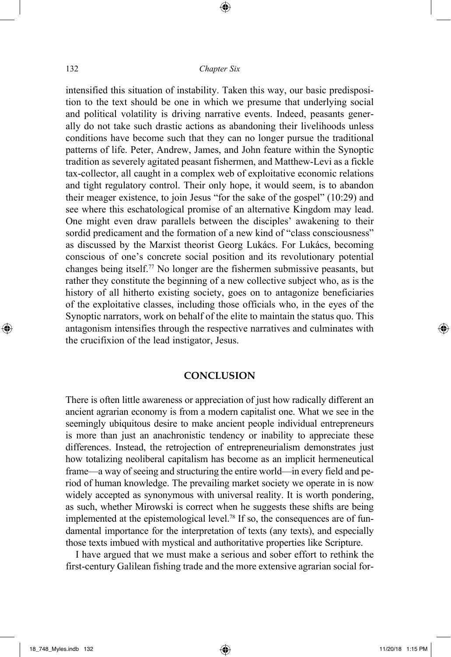intensified this situation of instability. Taken this way, our basic predisposition to the text should be one in which we presume that underlying social and political volatility is driving narrative events. Indeed, peasants generally do not take such drastic actions as abandoning their livelihoods unless conditions have become such that they can no longer pursue the traditional patterns of life. Peter, Andrew, James, and John feature within the Synoptic tradition as severely agitated peasant fishermen, and Matthew-Levi as a fickle tax-collector, all caught in a complex web of exploitative economic relations and tight regulatory control. Their only hope, it would seem, is to abandon their meager existence, to join Jesus "for the sake of the gospel" (10:29) and see where this eschatological promise of an alternative Kingdom may lead. One might even draw parallels between the disciples' awakening to their sordid predicament and the formation of a new kind of "class consciousness" as discussed by the Marxist theorist Georg Lukács. For Lukács, becoming conscious of one's concrete social position and its revolutionary potential changes being itself.77 No longer are the fishermen submissive peasants, but rather they constitute the beginning of a new collective subject who, as is the history of all hitherto existing society, goes on to antagonize beneficiaries of the exploitative classes, including those officials who, in the eyes of the Synoptic narrators, work on behalf of the elite to maintain the status quo. This antagonism intensifies through the respective narratives and culminates with the crucifixion of the lead instigator, Jesus.

#### **CONCLUSION**

There is often little awareness or appreciation of just how radically different an ancient agrarian economy is from a modern capitalist one. What we see in the seemingly ubiquitous desire to make ancient people individual entrepreneurs is more than just an anachronistic tendency or inability to appreciate these differences. Instead, the retrojection of entrepreneurialism demonstrates just how totalizing neoliberal capitalism has become as an implicit hermeneutical frame—a way of seeing and structuring the entire world—in every field and period of human knowledge. The prevailing market society we operate in is now widely accepted as synonymous with universal reality. It is worth pondering, as such, whether Mirowski is correct when he suggests these shifts are being implemented at the epistemological level.78 If so, the consequences are of fundamental importance for the interpretation of texts (any texts), and especially those texts imbued with mystical and authoritative properties like Scripture.

I have argued that we must make a serious and sober effort to rethink the first-century Galilean fishing trade and the more extensive agrarian social for-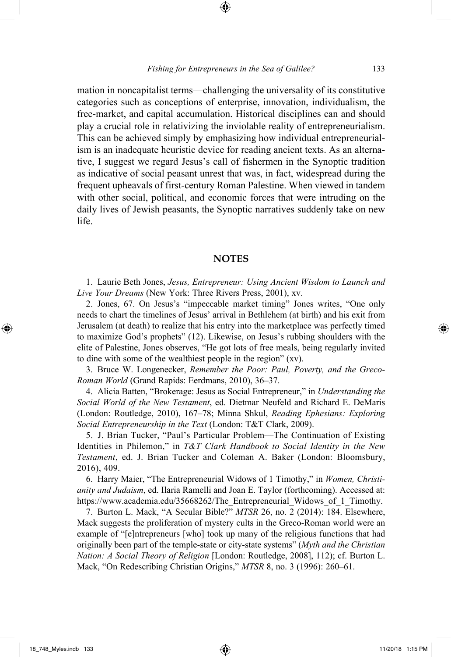mation in noncapitalist terms—challenging the universality of its constitutive categories such as conceptions of enterprise, innovation, individualism, the free-market, and capital accumulation. Historical disciplines can and should play a crucial role in relativizing the inviolable reality of entrepreneurialism. This can be achieved simply by emphasizing how individual entrepreneurialism is an inadequate heuristic device for reading ancient texts. As an alternative, I suggest we regard Jesus's call of fishermen in the Synoptic tradition as indicative of social peasant unrest that was, in fact, widespread during the frequent upheavals of first-century Roman Palestine. When viewed in tandem with other social, political, and economic forces that were intruding on the daily lives of Jewish peasants, the Synoptic narratives suddenly take on new life.

#### **NOTES**

1. Laurie Beth Jones, *Jesus, Entrepreneur: Using Ancient Wisdom to Launch and Live Your Dreams* (New York: Three Rivers Press, 2001), xv.

2. Jones, 67. On Jesus's "impeccable market timing" Jones writes, "One only needs to chart the timelines of Jesus' arrival in Bethlehem (at birth) and his exit from Jerusalem (at death) to realize that his entry into the marketplace was perfectly timed to maximize God's prophets" (12). Likewise, on Jesus's rubbing shoulders with the elite of Palestine, Jones observes, "He got lots of free meals, being regularly invited to dine with some of the wealthiest people in the region" (xv).

3. Bruce W. Longenecker, *Remember the Poor: Paul, Poverty, and the Greco-Roman World* (Grand Rapids: Eerdmans, 2010), 36–37.

4. Alicia Batten, "Brokerage: Jesus as Social Entrepreneur," in *Understanding the Social World of the New Testament*, ed. Dietmar Neufeld and Richard E. DeMaris (London: Routledge, 2010), 167–78; Minna Shkul, *Reading Ephesians: Exploring Social Entrepreneurship in the Text* (London: T&T Clark, 2009).

5. J. Brian Tucker, "Paul's Particular Problem—The Continuation of Existing Identities in Philemon," in *T&T Clark Handbook to Social Identity in the New Testament*, ed. J. Brian Tucker and Coleman A. Baker (London: Bloomsbury, 2016), 409.

6. Harry Maier, "The Entrepreneurial Widows of 1 Timothy," in *Women, Christianity and Judaism*, ed. Ilaria Ramelli and Joan E. Taylor (forthcoming). Accessed at: https://www.academia.edu/35668262/The\_Entrepreneurial\_Widows\_of\_1\_Timothy.

7. Burton L. Mack, "A Secular Bible?" *MTSR* 26, no. 2 (2014): 184. Elsewhere, Mack suggests the proliferation of mystery cults in the Greco-Roman world were an example of "[e]ntrepreneurs [who] took up many of the religious functions that had originally been part of the temple-state or city-state systems" (*Myth and the Christian Nation: A Social Theory of Religion* [London: Routledge, 2008], 112); cf. Burton L. Mack, "On Redescribing Christian Origins," *MTSR* 8, no. 3 (1996): 260–61.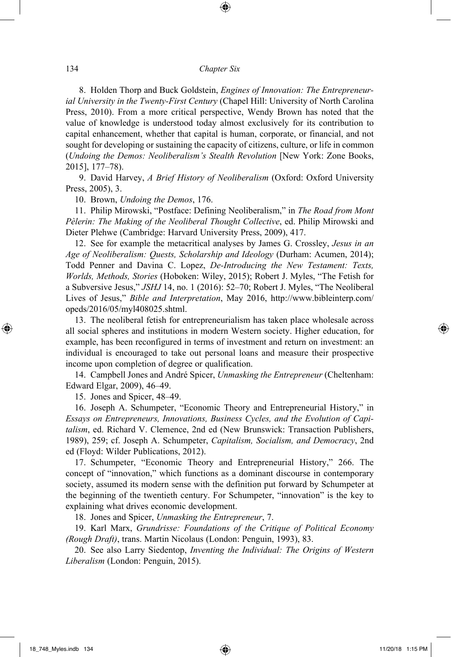8. Holden Thorp and Buck Goldstein, *Engines of Innovation: The Entrepreneurial University in the Twenty-First Century* (Chapel Hill: University of North Carolina Press, 2010). From a more critical perspective, Wendy Brown has noted that the value of knowledge is understood today almost exclusively for its contribution to capital enhancement, whether that capital is human, corporate, or financial, and not sought for developing or sustaining the capacity of citizens, culture, or life in common (*Undoing the Demos: Neoliberalism's Stealth Revolution* [New York: Zone Books, 2015], 177–78).

9. David Harvey, *A Brief History of Neoliberalism* (Oxford: Oxford University Press, 2005), 3.

10. Brown, *Undoing the Demos*, 176.

11. Philip Mirowski, "Postface: Defining Neoliberalism," in *The Road from Mont Pèlerin: The Making of the Neoliberal Thought Collective*, ed. Philip Mirowski and Dieter Plehwe (Cambridge: Harvard University Press, 2009), 417.

12. See for example the metacritical analyses by James G. Crossley, *Jesus in an Age of Neoliberalism: Quests, Scholarship and Ideology* (Durham: Acumen, 2014); Todd Penner and Davina C. Lopez, *De-Introducing the New Testament: Texts, Worlds, Methods, Stories* (Hoboken: Wiley, 2015); Robert J. Myles, "The Fetish for a Subversive Jesus," *JSHJ* 14, no. 1 (2016): 52–70; Robert J. Myles, "The Neoliberal Lives of Jesus," *Bible and Interpretation*, May 2016, http://www.bibleinterp.com/ opeds/2016/05/myl408025.shtml.

13. The neoliberal fetish for entrepreneurialism has taken place wholesale across all social spheres and institutions in modern Western society. Higher education, for example, has been reconfigured in terms of investment and return on investment: an individual is encouraged to take out personal loans and measure their prospective income upon completion of degree or qualification.

14. Campbell Jones and André Spicer, *Unmasking the Entrepreneur* (Cheltenham: Edward Elgar, 2009), 46–49.

15. Jones and Spicer, 48–49.

16. Joseph A. Schumpeter, "Economic Theory and Entrepreneurial History," in *Essays on Entrepreneurs, Innovations, Business Cycles, and the Evolution of Capitalism*, ed. Richard V. Clemence, 2nd ed (New Brunswick: Transaction Publishers, 1989), 259; cf. Joseph A. Schumpeter, *Capitalism, Socialism, and Democracy*, 2nd ed (Floyd: Wilder Publications, 2012).

17. Schumpeter, "Economic Theory and Entrepreneurial History," 266. The concept of "innovation," which functions as a dominant discourse in contemporary society, assumed its modern sense with the definition put forward by Schumpeter at the beginning of the twentieth century. For Schumpeter, "innovation" is the key to explaining what drives economic development.

18. Jones and Spicer, *Unmasking the Entrepreneur*, 7.

19. Karl Marx, *Grundrisse: Foundations of the Critique of Political Economy (Rough Draft)*, trans. Martin Nicolaus (London: Penguin, 1993), 83.

20. See also Larry Siedentop, *Inventing the Individual: The Origins of Western Liberalism* (London: Penguin, 2015).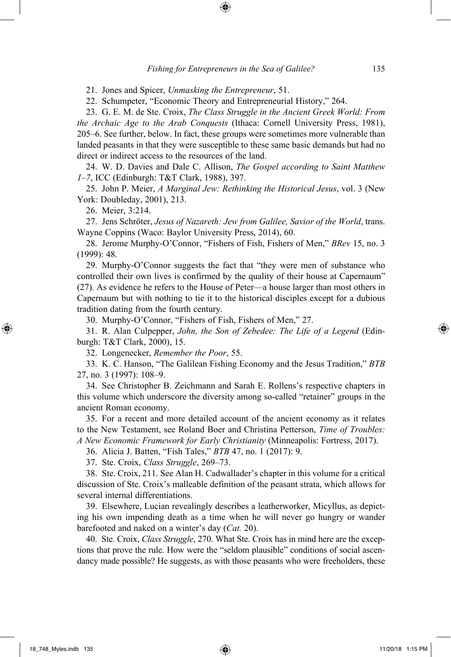21. Jones and Spicer, *Unmasking the Entrepreneur*, 51.

22. Schumpeter, "Economic Theory and Entrepreneurial History," 264.

23. G. E. M. de Ste. Croix, *The Class Struggle in the Ancient Greek World: From the Archaic Age to the Arab Conquests* (Ithaca: Cornell University Press, 1981), 205–6. See further, below. In fact, these groups were sometimes more vulnerable than landed peasants in that they were susceptible to these same basic demands but had no direct or indirect access to the resources of the land.

24. W. D. Davies and Dale C. Allison, *The Gospel according to Saint Matthew 1–7*, ICC (Edinburgh: T&T Clark, 1988), 397.

25. John P. Meier, *A Marginal Jew: Rethinking the Historical Jesus*, vol. 3 (New York: Doubleday, 2001), 213.

26. Meier, 3:214.

27. Jens Schröter, *Jesus of Nazareth: Jew from Galilee, Savior of the World*, trans. Wayne Coppins (Waco: Baylor University Press, 2014), 60.

28. Jerome Murphy-O'Connor, "Fishers of Fish, Fishers of Men," *BRev* 15, no. 3 (1999): 48.

29. Murphy-O'Connor suggests the fact that "they were men of substance who controlled their own lives is confirmed by the quality of their house at Capernaum" (27). As evidence he refers to the House of Peter—a house larger than most others in Capernaum but with nothing to tie it to the historical disciples except for a dubious tradition dating from the fourth century.

30. Murphy-O'Connor, "Fishers of Fish, Fishers of Men," 27.

31. R. Alan Culpepper, *John, the Son of Zebedee: The Life of a Legend* (Edinburgh: T&T Clark, 2000), 15.

32. Longenecker, *Remember the Poor*, 55.

33. K. C. Hanson, "The Galilean Fishing Economy and the Jesus Tradition," *BTB* 27, no. 3 (1997): 108–9.

34. See Christopher B. Zeichmann and Sarah E. Rollens's respective chapters in this volume which underscore the diversity among so-called "retainer" groups in the ancient Roman economy.

35. For a recent and more detailed account of the ancient economy as it relates to the New Testament, see Roland Boer and Christina Petterson, *Time of Troubles: A New Economic Framework for Early Christianity* (Minneapolis: Fortress, 2017).

36. Alicia J. Batten, "Fish Tales," *BTB* 47, no. 1 (2017): 9.

37. Ste. Croix, *Class Struggle*, 269–73.

38. Ste. Croix, 211. See Alan H. Cadwallader's chapter in this volume for a critical discussion of Ste. Croix's malleable definition of the peasant strata, which allows for several internal differentiations.

39. Elsewhere, Lucian revealingly describes a leatherworker, Micyllus, as depicting his own impending death as a time when he will never go hungry or wander barefooted and naked on a winter's day (*Cat.* 20).

40. Ste. Croix, *Class Struggle*, 270. What Ste. Croix has in mind here are the exceptions that prove the rule. How were the "seldom plausible" conditions of social ascendancy made possible? He suggests, as with those peasants who were freeholders, these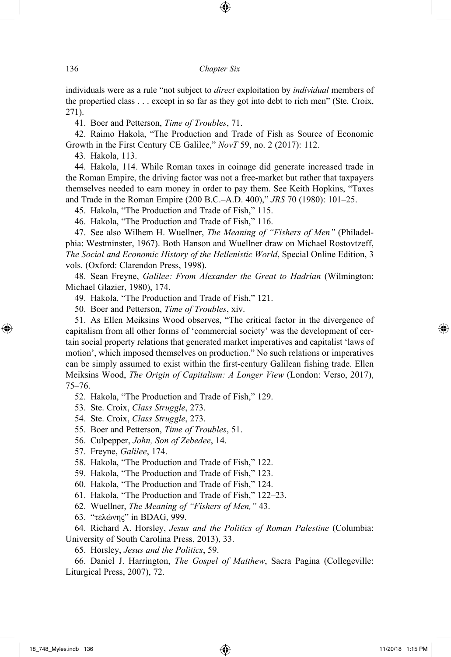individuals were as a rule "not subject to *direct* exploitation by *individual* members of the propertied class . . . except in so far as they got into debt to rich men" (Ste. Croix, 271).

41. Boer and Petterson, *Time of Troubles*, 71.

42. Raimo Hakola, "The Production and Trade of Fish as Source of Economic Growth in the First Century CE Galilee," *NovT* 59, no. 2 (2017): 112.

43. Hakola, 113.

44. Hakola, 114. While Roman taxes in coinage did generate increased trade in the Roman Empire, the driving factor was not a free-market but rather that taxpayers themselves needed to earn money in order to pay them. See Keith Hopkins, "Taxes and Trade in the Roman Empire (200 B.C.–A.D. 400)," *JRS* 70 (1980): 101–25.

45. Hakola, "The Production and Trade of Fish," 115.

46. Hakola, "The Production and Trade of Fish," 116.

47. See also Wilhem H. Wuellner, *The Meaning of "Fishers of Men"* (Philadelphia: Westminster, 1967). Both Hanson and Wuellner draw on Michael Rostovtzeff, *The Social and Economic History of the Hellenistic World*, Special Online Edition, 3 vols. (Oxford: Clarendon Press, 1998).

48. Sean Freyne, *Galilee: From Alexander the Great to Hadrian* (Wilmington: Michael Glazier, 1980), 174.

49. Hakola, "The Production and Trade of Fish," 121.

50. Boer and Petterson, *Time of Troubles*, xiv.

51. As Ellen Meiksins Wood observes, "The critical factor in the divergence of capitalism from all other forms of 'commercial society' was the development of certain social property relations that generated market imperatives and capitalist 'laws of motion', which imposed themselves on production." No such relations or imperatives can be simply assumed to exist within the first-century Galilean fishing trade. Ellen Meiksins Wood, *The Origin of Capitalism: A Longer View* (London: Verso, 2017), 75–76.

52. Hakola, "The Production and Trade of Fish," 129.

53. Ste. Croix, *Class Struggle*, 273.

54. Ste. Croix, *Class Struggle*, 273.

55. Boer and Petterson, *Time of Troubles*, 51.

56. Culpepper, *John, Son of Zebedee*, 14.

57. Freyne, *Galilee*, 174.

58. Hakola, "The Production and Trade of Fish," 122.

59. Hakola, "The Production and Trade of Fish," 123.

60. Hakola, "The Production and Trade of Fish," 124.

61. Hakola, "The Production and Trade of Fish," 122–23.

62. Wuellner, *The Meaning of "Fishers of Men,"* 43.

63. "τελώνης" in BDAG, 999.

64. Richard A. Horsley, *Jesus and the Politics of Roman Palestine* (Columbia: University of South Carolina Press, 2013), 33.

65. Horsley, *Jesus and the Politics*, 59.

66. Daniel J. Harrington, *The Gospel of Matthew*, Sacra Pagina (Collegeville: Liturgical Press, 2007), 72.